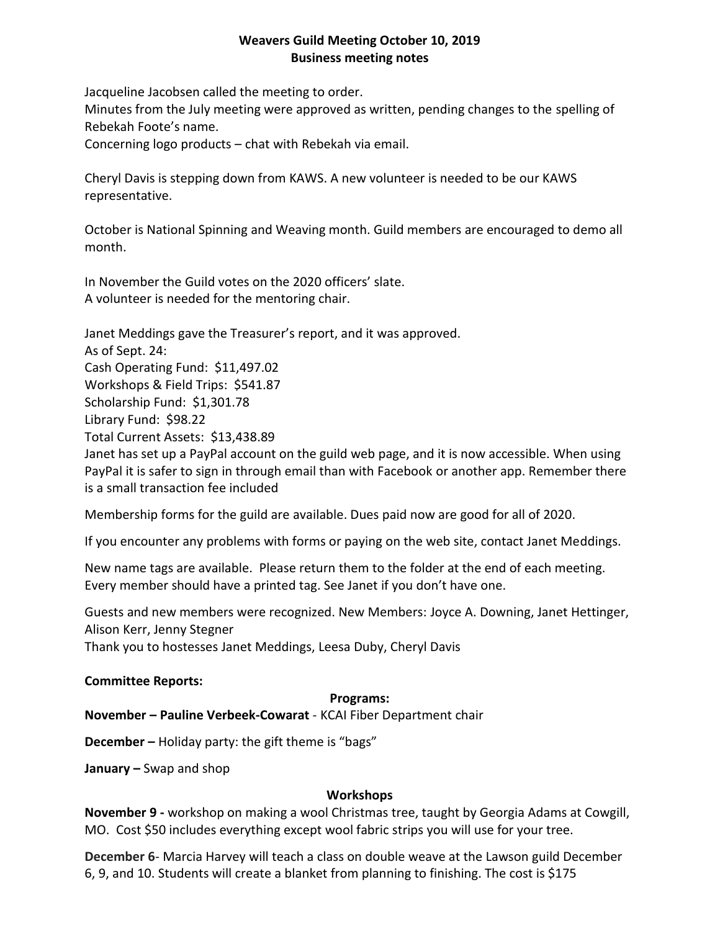## **Weavers Guild Meeting October 10, 2019 Business meeting notes**

Jacqueline Jacobsen called the meeting to order.

Minutes from the July meeting were approved as written, pending changes to the spelling of Rebekah Foote's name.

Concerning logo products – chat with Rebekah via email.

Cheryl Davis is stepping down from KAWS. A new volunteer is needed to be our KAWS representative.

October is National Spinning and Weaving month. Guild members are encouraged to demo all month.

In November the Guild votes on the 2020 officers' slate. A volunteer is needed for the mentoring chair.

Janet Meddings gave the Treasurer's report, and it was approved.

As of Sept. 24:

Cash Operating Fund: \$11,497.02

Workshops & Field Trips: \$541.87

Scholarship Fund: \$1,301.78

Library Fund: \$98.22

Total Current Assets: \$13,438.89

Janet has set up a PayPal account on the guild web page, and it is now accessible. When using PayPal it is safer to sign in through email than with Facebook or another app. Remember there is a small transaction fee included

Membership forms for the guild are available. Dues paid now are good for all of 2020.

If you encounter any problems with forms or paying on the web site, contact Janet Meddings.

New name tags are available. Please return them to the folder at the end of each meeting. Every member should have a printed tag. See Janet if you don't have one.

Guests and new members were recognized. New Members: Joyce A. Downing, Janet Hettinger, Alison Kerr, Jenny Stegner

Thank you to hostesses Janet Meddings, Leesa Duby, Cheryl Davis

# **Committee Reports:**

# **Programs:**

**November – Pauline Verbeek-Cowarat** - KCAI Fiber Department chair

**December –** Holiday party: the gift theme is "bags"

**January –** Swap and shop

# **Workshops**

**November 9 -** workshop on making a wool Christmas tree, taught by Georgia Adams at Cowgill, MO. Cost \$50 includes everything except wool fabric strips you will use for your tree.

**December 6**- Marcia Harvey will teach a class on double weave at the Lawson guild December 6, 9, and 10. Students will create a blanket from planning to finishing. The cost is \$175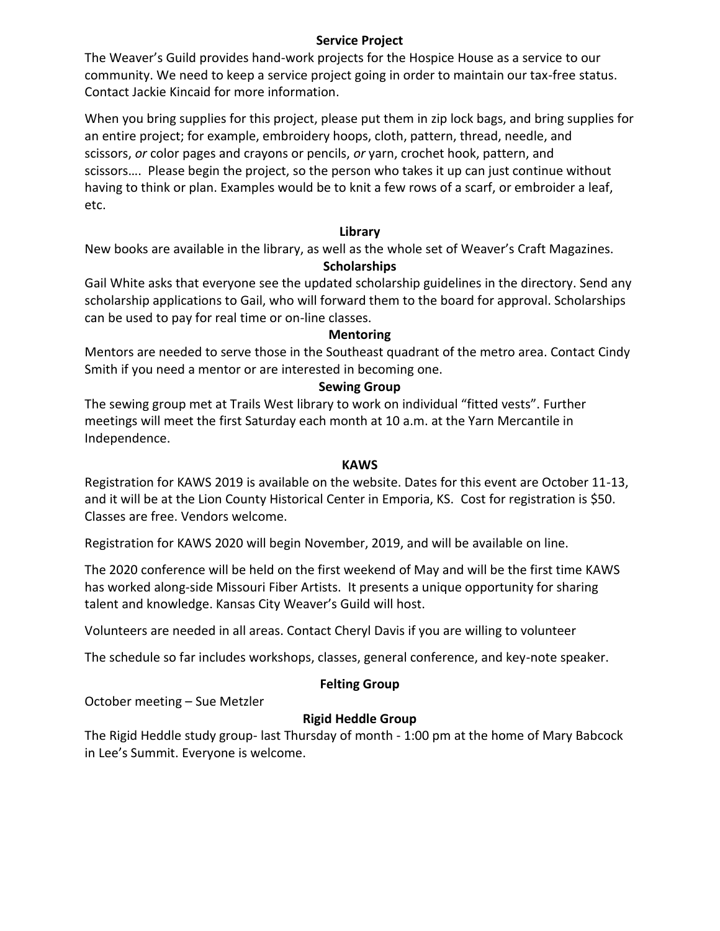## **Service Project**

The Weaver's Guild provides hand-work projects for the Hospice House as a service to our community. We need to keep a service project going in order to maintain our tax-free status. Contact Jackie Kincaid for more information.

When you bring supplies for this project, please put them in zip lock bags, and bring supplies for an entire project; for example, embroidery hoops, cloth, pattern, thread, needle, and scissors, *or* color pages and crayons or pencils, *or* yarn, crochet hook, pattern, and scissors…. Please begin the project, so the person who takes it up can just continue without having to think or plan. Examples would be to knit a few rows of a scarf, or embroider a leaf, etc.

## **Library**

New books are available in the library, as well as the whole set of Weaver's Craft Magazines.

# **Scholarships**

Gail White asks that everyone see the updated scholarship guidelines in the directory. Send any scholarship applications to Gail, who will forward them to the board for approval. Scholarships can be used to pay for real time or on-line classes.

## **Mentoring**

Mentors are needed to serve those in the Southeast quadrant of the metro area. Contact Cindy Smith if you need a mentor or are interested in becoming one.

## **Sewing Group**

The sewing group met at Trails West library to work on individual "fitted vests". Further meetings will meet the first Saturday each month at 10 a.m. at the Yarn Mercantile in Independence.

### **KAWS**

Registration for KAWS 2019 is available on the website. Dates for this event are October 11-13, and it will be at the Lion County Historical Center in Emporia, KS. Cost for registration is \$50. Classes are free. Vendors welcome.

Registration for KAWS 2020 will begin November, 2019, and will be available on line.

The 2020 conference will be held on the first weekend of May and will be the first time KAWS has worked along-side Missouri Fiber Artists. It presents a unique opportunity for sharing talent and knowledge. Kansas City Weaver's Guild will host.

Volunteers are needed in all areas. Contact Cheryl Davis if you are willing to volunteer

The schedule so far includes workshops, classes, general conference, and key-note speaker.

### **Felting Group**

October meeting – Sue Metzler

# **Rigid Heddle Group**

The Rigid Heddle study group- last Thursday of month - 1:00 pm at the home of Mary Babcock in Lee's Summit. Everyone is welcome.